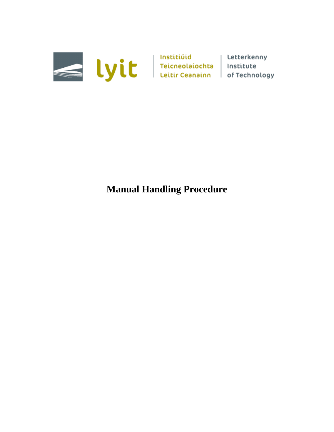

# **Manual Handling Procedure**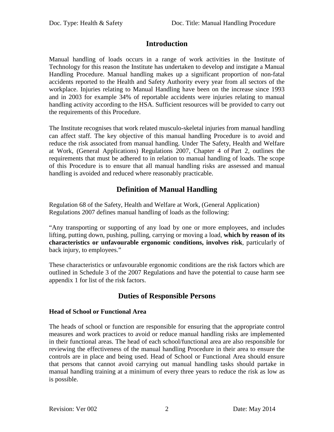### **Introduction**

Manual handling of loads occurs in a range of work activities in the Institute of Technology for this reason the Institute has undertaken to develop and instigate a Manual Handling Procedure. Manual handling makes up a significant proportion of non-fatal accidents reported to the Health and Safety Authority every year from all sectors of the workplace. Injuries relating to Manual Handling have been on the increase since 1993 and in 2003 for example 34% of reportable accidents were injuries relating to manual handling activity according to the HSA. Sufficient resources will be provided to carry out the requirements of this Procedure.

The Institute recognises that work related musculo-skeletal injuries from manual handling can affect staff. The key objective of this manual handling Procedure is to avoid and reduce the risk associated from manual handling. Under The Safety, Health and Welfare at Work, (General Applications) Regulations 2007, Chapter 4 of Part 2, outlines the requirements that must be adhered to in relation to manual handling of loads. The scope of this Procedure is to ensure that all manual handling risks are assessed and manual handling is avoided and reduced where reasonably practicable.

## **Definition of Manual Handling**

Regulation 68 of the Safety, Health and Welfare at Work, (General Application) Regulations 2007 defines manual handling of loads as the following:

"Any transporting or supporting of any load by one or more employees, and includes lifting, putting down, pushing, pulling, carrying or moving a load, **which by reason of its characteristics or unfavourable ergonomic conditions, involves risk**, particularly of back injury, to employees."

These characteristics or unfavourable ergonomic conditions are the risk factors which are outlined in Schedule 3 of the 2007 Regulations and have the potential to cause harm see appendix 1 for list of the risk factors.

### **Duties of Responsible Persons**

#### **Head of School or Functional Area**

The heads of school or function are responsible for ensuring that the appropriate control measures and work practices to avoid or reduce manual handling risks are implemented in their functional areas. The head of each school/functional area are also responsible for reviewing the effectiveness of the manual handling Procedure in their area to ensure the controls are in place and being used. Head of School or Functional Area should ensure that persons that cannot avoid carrying out manual handling tasks should partake in manual handling training at a minimum of every three years to reduce the risk as low as is possible.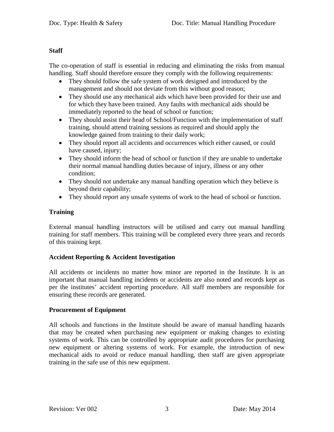#### **Staff**

The co-operation of staff is essential in reducing and eliminating the risks from manual handling. Staff should therefore ensure they comply with the following requirements:

- They should follow the safe system of work designed and introduced by the management and should not deviate from this without good reason;
- They should use any mechanical aids which have been provided for their use and for which they have been trained. Any faults with mechanical aids should be immediately reported to the head of school or function;
- They should assist their head of School/Function with the implementation of staff training, should attend training sessions as required and should apply the knowledge gained from training to their daily work;
- They should report all accidents and occurrences which either caused, or could have caused, injury;
- They should inform the head of school or function if they are unable to undertake their normal manual handling duties because of injury, illness or any other condition;
- They should not undertake any manual handling operation which they believe is beyond their capability;
- They should report any unsafe systems of work to the head of school or function.

#### **Training**

External manual handling instructors will be utilised and carry out manual handling training for staff members. This training will be completed every three years and records of this training kept.

#### **Accident Reporting & Accident Investigation**

All accidents or incidents no matter how minor are reported in the Institute. It is an important that manual handling incidents or accidents are also noted and records kept as per the institutes' accident reporting procedure. All staff members are responsible for ensuring these records are generated.

#### **Procurement of Equipment**

All schools and functions in the Institute should be aware of manual handling hazards that may be created when purchasing new equipment or making changes to existing systems of work. This can be controlled by appropriate audit procedures for purchasing new equipment or altering systems of work. For example, the introduction of new mechanical aids to avoid or reduce manual handling, then staff are given appropriate training in the safe use of this new equipment.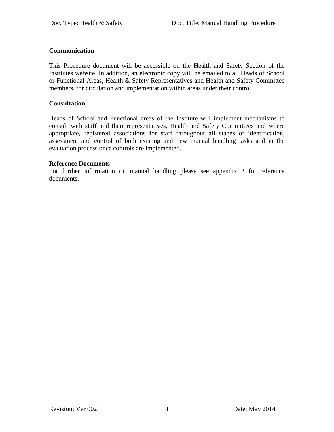#### **Communication**

This Procedure document will be accessible on the Health and Safety Section of the Institutes website. In addition, an electronic copy will be emailed to all Heads of School or Functional Areas, Health & Safety Representatives and Health and Safety Committee members, for circulation and implementation within areas under their control.

#### **Consultation**

Heads of School and Functional areas of the Institute will implement mechanisms to consult with staff and their representatives, Health and Safety Committees and where appropriate, registered associations for staff throughout all stages of identification, assessment and control of both existing and new manual handling tasks and in the evaluation process once controls are implemented.

#### **Reference Documents**

For further information on manual handling please see appendix 2 for reference documents.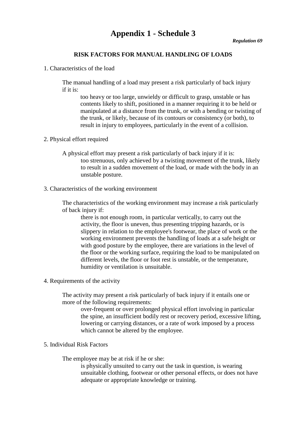## **Appendix 1 - Schedule 3**

#### **RISK FACTORS FOR MANUAL HANDLING OF LOADS**

1. Characteristics of the load

The manual handling of a load may present a risk particularly of back injury if it is:

too heavy or too large, unwieldy or difficult to grasp, unstable or has contents likely to shift, positioned in a manner requiring it to be held or manipulated at a distance from the trunk, or with a bending or twisting of the trunk, or likely, because of its contours or consistency (or both), to result in injury to employees, particularly in the event of a collision.

- 2. Physical effort required
	- A physical effort may present a risk particularly of back injury if it is: too strenuous, only achieved by a twisting movement of the trunk, likely to result in a sudden movement of the load, or made with the body in an unstable posture.
- 3. Characteristics of the working environment

The characteristics of the working environment may increase a risk particularly of back injury if:

there is not enough room, in particular vertically, to carry out the activity, the floor is uneven, thus presenting tripping hazards, or is slippery in relation to the employee's footwear, the place of work or the working environment prevents the handling of loads at a safe height or with good posture by the employee, there are variations in the level of the floor or the working surface, requiring the load to be manipulated on different levels, the floor or foot rest is unstable, or the temperature, humidity or ventilation is unsuitable.

4. Requirements of the activity

The activity may present a risk particularly of back injury if it entails one or more of the following requirements:

over-frequent or over prolonged physical effort involving in particular the spine, an insufficient bodily rest or recovery period, excessive lifting, lowering or carrying distances, or a rate of work imposed by a process which cannot be altered by the employee.

5. Individual Risk Factors

The employee may be at risk if he or she:

is physically unsuited to carry out the task in question, is wearing unsuitable clothing, footwear or other personal effects, or does not have adequate or appropriate knowledge or training.